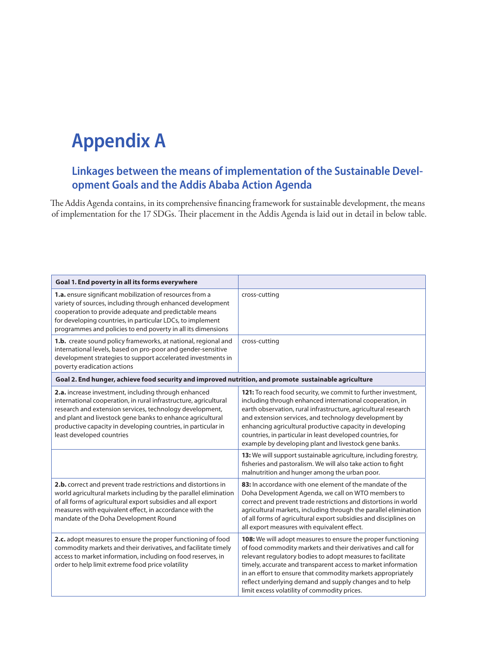## **Appendix A**

## **Linkages between the means of implementation of the Sustainable Development Goals and the Addis Ababa Action Agenda**

The Addis Agenda contains, in its comprehensive financing framework for sustainable development, the means of implementation for the 17 SDGs. Their placement in the Addis Agenda is laid out in detail in below table.

| Goal 1. End poverty in all its forms everywhere                                                                                                                                                                                                                                                                                                  |                                                                                                                                                                                                                                                                                                                                                                                                                                         |
|--------------------------------------------------------------------------------------------------------------------------------------------------------------------------------------------------------------------------------------------------------------------------------------------------------------------------------------------------|-----------------------------------------------------------------------------------------------------------------------------------------------------------------------------------------------------------------------------------------------------------------------------------------------------------------------------------------------------------------------------------------------------------------------------------------|
| 1.a. ensure significant mobilization of resources from a<br>variety of sources, including through enhanced development<br>cooperation to provide adequate and predictable means<br>for developing countries, in particular LDCs, to implement<br>programmes and policies to end poverty in all its dimensions                                    | cross-cutting                                                                                                                                                                                                                                                                                                                                                                                                                           |
| 1.b. create sound policy frameworks, at national, regional and<br>international levels, based on pro-poor and gender-sensitive<br>development strategies to support accelerated investments in<br>poverty eradication actions                                                                                                                    | cross-cutting                                                                                                                                                                                                                                                                                                                                                                                                                           |
| Goal 2. End hunger, achieve food security and improved nutrition, and promote sustainable agriculture                                                                                                                                                                                                                                            |                                                                                                                                                                                                                                                                                                                                                                                                                                         |
| 2.a. increase investment, including through enhanced<br>international cooperation, in rural infrastructure, agricultural<br>research and extension services, technology development,<br>and plant and livestock gene banks to enhance agricultural<br>productive capacity in developing countries, in particular in<br>least developed countries | 121: To reach food security, we commit to further investment,<br>including through enhanced international cooperation, in<br>earth observation, rural infrastructure, agricultural research<br>and extension services, and technology development by<br>enhancing agricultural productive capacity in developing<br>countries, in particular in least developed countries, for<br>example by developing plant and livestock gene banks. |
|                                                                                                                                                                                                                                                                                                                                                  | 13: We will support sustainable agriculture, including forestry,<br>fisheries and pastoralism. We will also take action to fight<br>malnutrition and hunger among the urban poor.                                                                                                                                                                                                                                                       |
| 2.b. correct and prevent trade restrictions and distortions in<br>world agricultural markets including by the parallel elimination<br>of all forms of agricultural export subsidies and all export<br>measures with equivalent effect, in accordance with the<br>mandate of the Doha Development Round                                           | 83: In accordance with one element of the mandate of the<br>Doha Development Agenda, we call on WTO members to<br>correct and prevent trade restrictions and distortions in world<br>agricultural markets, including through the parallel elimination<br>of all forms of agricultural export subsidies and disciplines on<br>all export measures with equivalent effect.                                                                |
| 2.c. adopt measures to ensure the proper functioning of food<br>commodity markets and their derivatives, and facilitate timely<br>access to market information, including on food reserves, in<br>order to help limit extreme food price volatility                                                                                              | 108: We will adopt measures to ensure the proper functioning<br>of food commodity markets and their derivatives and call for<br>relevant regulatory bodies to adopt measures to facilitate<br>timely, accurate and transparent access to market information<br>in an effort to ensure that commodity markets appropriately<br>reflect underlying demand and supply changes and to help<br>limit excess volatility of commodity prices.  |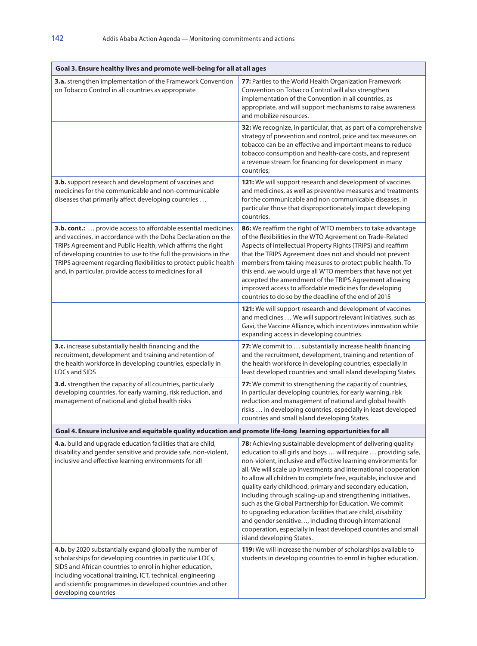| Goal 3. Ensure healthy lives and promote well-being for all at all ages                                                                                                                                                                                                                                                                                                                        |                                                                                                                                                                                                                                                                                                                                                                                                                                                                                                                                                                                                                                                                                                                                                       |
|------------------------------------------------------------------------------------------------------------------------------------------------------------------------------------------------------------------------------------------------------------------------------------------------------------------------------------------------------------------------------------------------|-------------------------------------------------------------------------------------------------------------------------------------------------------------------------------------------------------------------------------------------------------------------------------------------------------------------------------------------------------------------------------------------------------------------------------------------------------------------------------------------------------------------------------------------------------------------------------------------------------------------------------------------------------------------------------------------------------------------------------------------------------|
| 3.a. strengthen implementation of the Framework Convention<br>on Tobacco Control in all countries as appropriate                                                                                                                                                                                                                                                                               | 77: Parties to the World Health Organization Framework<br>Convention on Tobacco Control will also strengthen<br>implementation of the Convention in all countries, as<br>appropriate, and will support mechanisms to raise awareness<br>and mobilize resources.                                                                                                                                                                                                                                                                                                                                                                                                                                                                                       |
|                                                                                                                                                                                                                                                                                                                                                                                                | 32: We recognize, in particular, that, as part of a comprehensive<br>strategy of prevention and control, price and tax measures on<br>tobacco can be an effective and important means to reduce<br>tobacco consumption and health-care costs, and represent<br>a revenue stream for financing for development in many<br>countries;                                                                                                                                                                                                                                                                                                                                                                                                                   |
| 3.b. support research and development of vaccines and<br>medicines for the communicable and non-communicable<br>diseases that primarily affect developing countries                                                                                                                                                                                                                            | 121: We will support research and development of vaccines<br>and medicines, as well as preventive measures and treatments<br>for the communicable and non communicable diseases, in<br>particular those that disproportionately impact developing<br>countries.                                                                                                                                                                                                                                                                                                                                                                                                                                                                                       |
| 3.b. cont.:  provide access to affordable essential medicines<br>and vaccines, in accordance with the Doha Declaration on the<br>TRIPs Agreement and Public Health, which affirms the right<br>of developing countries to use to the full the provisions in the<br>TRIPS agreement regarding flexibilities to protect public health<br>and, in particular, provide access to medicines for all | 86: We reaffirm the right of WTO members to take advantage<br>of the flexibilities in the WTO Agreement on Trade-Related<br>Aspects of Intellectual Property Rights (TRIPS) and reaffirm<br>that the TRIPS Agreement does not and should not prevent<br>members from taking measures to protect public health. To<br>this end, we would urge all WTO members that have not yet<br>accepted the amendment of the TRIPS Agreement allowing<br>improved access to affordable medicines for developing<br>countries to do so by the deadline of the end of 2015                                                                                                                                                                                           |
|                                                                                                                                                                                                                                                                                                                                                                                                | 121: We will support research and development of vaccines<br>and medicines  We will support relevant initiatives, such as<br>Gavi, the Vaccine Alliance, which incentivizes innovation while<br>expanding access in developing countries.                                                                                                                                                                                                                                                                                                                                                                                                                                                                                                             |
| 3.c. increase substantially health financing and the<br>recruitment, development and training and retention of<br>the health workforce in developing countries, especially in<br>LDCs and SIDS                                                                                                                                                                                                 | 77: We commit to  substantially increase health financing<br>and the recruitment, development, training and retention of<br>the health workforce in developing countries, especially in<br>least developed countries and small island developing States.                                                                                                                                                                                                                                                                                                                                                                                                                                                                                              |
| 3.d. strengthen the capacity of all countries, particularly<br>developing countries, for early warning, risk reduction, and<br>management of national and global health risks                                                                                                                                                                                                                  | 77: We commit to strengthening the capacity of countries,<br>in particular developing countries, for early warning, risk<br>reduction and management of national and global health<br>risks  in developing countries, especially in least developed<br>countries and small island developing States.                                                                                                                                                                                                                                                                                                                                                                                                                                                  |
| Goal 4. Ensure inclusive and equitable quality education and promote life-long learning opportunities for all                                                                                                                                                                                                                                                                                  |                                                                                                                                                                                                                                                                                                                                                                                                                                                                                                                                                                                                                                                                                                                                                       |
| 4.a. build and upgrade education facilities that are child,<br>disability and gender sensitive and provide safe, non-violent,<br>inclusive and effective learning environments for all                                                                                                                                                                                                         | 78: Achieving sustainable development of delivering quality<br>education to all girls and boys  will require  providing safe,<br>non-violent, inclusive and effective learning environments for<br>all. We will scale up investments and international cooperation<br>to allow all children to complete free, equitable, inclusive and<br>quality early childhood, primary and secondary education,<br>including through scaling-up and strengthening initiatives,<br>such as the Global Partnership for Education. We commit<br>to upgrading education facilities that are child, disability<br>and gender sensitive, including through international<br>cooperation, especially in least developed countries and small<br>island developing States. |
| 4.b. by 2020 substantially expand globally the number of<br>scholarships for developing countries in particular LDCs,<br>SIDS and African countries to enrol in higher education,<br>including vocational training, ICT, technical, engineering<br>and scientific programmes in developed countries and other<br>developing countries                                                          | 119: We will increase the number of scholarships available to<br>students in developing countries to enrol in higher education.                                                                                                                                                                                                                                                                                                                                                                                                                                                                                                                                                                                                                       |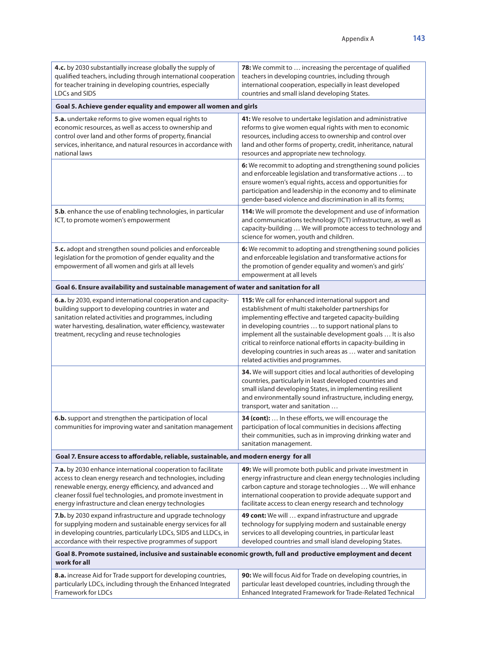| 4.c. by 2030 substantially increase globally the supply of<br>qualified teachers, including through international cooperation<br>for teacher training in developing countries, especially<br><b>LDCs and SIDS</b>                                                                                          | 78: We commit to  increasing the percentage of qualified<br>teachers in developing countries, including through<br>international cooperation, especially in least developed<br>countries and small island developing States.                                                                                                                                                                                                                                       |
|------------------------------------------------------------------------------------------------------------------------------------------------------------------------------------------------------------------------------------------------------------------------------------------------------------|--------------------------------------------------------------------------------------------------------------------------------------------------------------------------------------------------------------------------------------------------------------------------------------------------------------------------------------------------------------------------------------------------------------------------------------------------------------------|
| Goal 5. Achieve gender equality and empower all women and girls                                                                                                                                                                                                                                            |                                                                                                                                                                                                                                                                                                                                                                                                                                                                    |
| 5.a. undertake reforms to give women equal rights to<br>economic resources, as well as access to ownership and<br>control over land and other forms of property, financial<br>services, inheritance, and natural resources in accordance with<br>national laws                                             | 41: We resolve to undertake legislation and administrative<br>reforms to give women equal rights with men to economic<br>resources, including access to ownership and control over<br>land and other forms of property, credit, inheritance, natural<br>resources and appropriate new technology.                                                                                                                                                                  |
|                                                                                                                                                                                                                                                                                                            | 6: We recommit to adopting and strengthening sound policies<br>and enforceable legislation and transformative actions  to<br>ensure women's equal rights, access and opportunities for<br>participation and leadership in the economy and to eliminate<br>gender-based violence and discrimination in all its forms;                                                                                                                                               |
| 5.b. enhance the use of enabling technologies, in particular<br>ICT, to promote women's empowerment                                                                                                                                                                                                        | 114: We will promote the development and use of information<br>and communications technology (ICT) infrastructure, as well as<br>capacity-building  We will promote access to technology and<br>science for women, youth and children.                                                                                                                                                                                                                             |
| 5.c. adopt and strengthen sound policies and enforceable<br>legislation for the promotion of gender equality and the<br>empowerment of all women and girls at all levels                                                                                                                                   | 6: We recommit to adopting and strengthening sound policies<br>and enforceable legislation and transformative actions for<br>the promotion of gender equality and women's and girls'<br>empowerment at all levels                                                                                                                                                                                                                                                  |
| Goal 6. Ensure availability and sustainable management of water and sanitation for all                                                                                                                                                                                                                     |                                                                                                                                                                                                                                                                                                                                                                                                                                                                    |
| 6.a. by 2030, expand international cooperation and capacity-<br>building support to developing countries in water and<br>sanitation related activities and programmes, including<br>water harvesting, desalination, water efficiency, wastewater<br>treatment, recycling and reuse technologies            | 115: We call for enhanced international support and<br>establishment of multi stakeholder partnerships for<br>implementing effective and targeted capacity-building<br>in developing countries  to support national plans to<br>implement all the sustainable development goals  It is also<br>critical to reinforce national efforts in capacity-building in<br>developing countries in such areas as  water and sanitation<br>related activities and programmes. |
|                                                                                                                                                                                                                                                                                                            | 34. We will support cities and local authorities of developing<br>countries, particularly in least developed countries and<br>small island developing States, in implementing resilient<br>and environmentally sound infrastructure, including energy,<br>transport, water and sanitation                                                                                                                                                                          |
| 6.b. support and strengthen the participation of local<br>communities for improving water and sanitation management                                                                                                                                                                                        | 34 (cont):  In these efforts, we will encourage the<br>participation of local communities in decisions affecting<br>their communities, such as in improving drinking water and<br>sanitation management.                                                                                                                                                                                                                                                           |
| Goal 7. Ensure access to affordable, reliable, sustainable, and modern energy for all                                                                                                                                                                                                                      |                                                                                                                                                                                                                                                                                                                                                                                                                                                                    |
| 7.a. by 2030 enhance international cooperation to facilitate<br>access to clean energy research and technologies, including<br>renewable energy, energy efficiency, and advanced and<br>cleaner fossil fuel technologies, and promote investment in<br>energy infrastructure and clean energy technologies | 49: We will promote both public and private investment in<br>energy infrastructure and clean energy technologies including<br>carbon capture and storage technologies  We will enhance<br>international cooperation to provide adequate support and<br>facilitate access to clean energy research and technology                                                                                                                                                   |
| 7.b. by 2030 expand infrastructure and upgrade technology<br>for supplying modern and sustainable energy services for all<br>in developing countries, particularly LDCs, SIDS and LLDCs, in<br>accordance with their respective programmes of support                                                      | 49 cont: We will  expand infrastructure and upgrade<br>technology for supplying modern and sustainable energy<br>services to all developing countries, in particular least<br>developed countries and small island developing States.                                                                                                                                                                                                                              |
| Goal 8. Promote sustained, inclusive and sustainable economic growth, full and productive employment and decent<br>work for all                                                                                                                                                                            |                                                                                                                                                                                                                                                                                                                                                                                                                                                                    |
| 8.a. increase Aid for Trade support for developing countries,<br>particularly LDCs, including through the Enhanced Integrated<br>Framework for LDCs                                                                                                                                                        | 90: We will focus Aid for Trade on developing countries, in<br>particular least developed countries, including through the<br>Enhanced Integrated Framework for Trade-Related Technical                                                                                                                                                                                                                                                                            |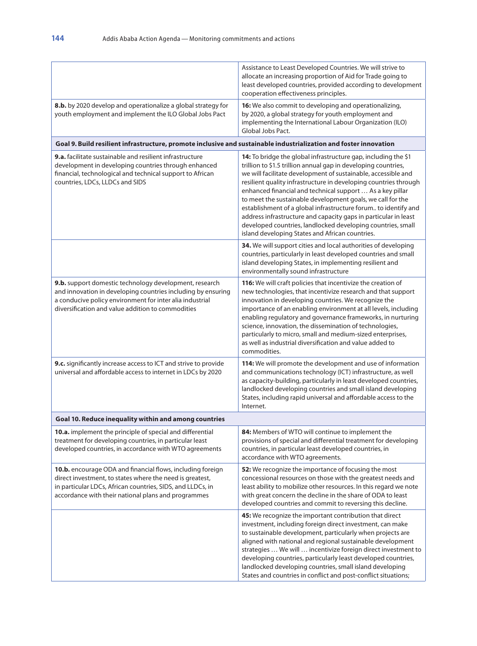|                                                                                                                                                                                                                                             | Assistance to Least Developed Countries. We will strive to<br>allocate an increasing proportion of Aid for Trade going to<br>least developed countries, provided according to development<br>cooperation effectiveness principles.                                                                                                                                                                                                                                                                                                                                                                                                                      |
|---------------------------------------------------------------------------------------------------------------------------------------------------------------------------------------------------------------------------------------------|---------------------------------------------------------------------------------------------------------------------------------------------------------------------------------------------------------------------------------------------------------------------------------------------------------------------------------------------------------------------------------------------------------------------------------------------------------------------------------------------------------------------------------------------------------------------------------------------------------------------------------------------------------|
| 8.b. by 2020 develop and operationalize a global strategy for<br>youth employment and implement the ILO Global Jobs Pact                                                                                                                    | 16: We also commit to developing and operationalizing,<br>by 2020, a global strategy for youth employment and<br>implementing the International Labour Organization (ILO)<br>Global Jobs Pact.                                                                                                                                                                                                                                                                                                                                                                                                                                                          |
| Goal 9. Build resilient infrastructure, promote inclusive and sustainable industrialization and foster innovation                                                                                                                           |                                                                                                                                                                                                                                                                                                                                                                                                                                                                                                                                                                                                                                                         |
| <b>9.a.</b> facilitate sustainable and resilient infrastructure<br>development in developing countries through enhanced<br>financial, technological and technical support to African<br>countries, LDCs, LLDCs and SIDS                     | 14: To bridge the global infrastructure gap, including the \$1<br>trillion to \$1.5 trillion annual gap in developing countries,<br>we will facilitate development of sustainable, accessible and<br>resilient quality infrastructure in developing countries through<br>enhanced financial and technical support  As a key pillar<br>to meet the sustainable development goals, we call for the<br>establishment of a global infrastructure forum to identify and<br>address infrastructure and capacity gaps in particular in least<br>developed countries, landlocked developing countries, small<br>island developing States and African countries. |
|                                                                                                                                                                                                                                             | 34. We will support cities and local authorities of developing<br>countries, particularly in least developed countries and small<br>island developing States, in implementing resilient and<br>environmentally sound infrastructure                                                                                                                                                                                                                                                                                                                                                                                                                     |
| 9.b. support domestic technology development, research<br>and innovation in developing countries including by ensuring<br>a conducive policy environment for inter alia industrial<br>diversification and value addition to commodities     | 116: We will craft policies that incentivize the creation of<br>new technologies, that incentivize research and that support<br>innovation in developing countries. We recognize the<br>importance of an enabling environment at all levels, including<br>enabling regulatory and governance frameworks, in nurturing<br>science, innovation, the dissemination of technologies,<br>particularly to micro, small and medium-sized enterprises,<br>as well as industrial diversification and value added to<br>commodities.                                                                                                                              |
| 9.c. significantly increase access to ICT and strive to provide<br>universal and affordable access to internet in LDCs by 2020                                                                                                              | 114: We will promote the development and use of information<br>and communications technology (ICT) infrastructure, as well<br>as capacity-building, particularly in least developed countries,<br>landlocked developing countries and small island developing<br>States, including rapid universal and affordable access to the<br>Internet.                                                                                                                                                                                                                                                                                                            |
| Goal 10. Reduce inequality within and among countries                                                                                                                                                                                       |                                                                                                                                                                                                                                                                                                                                                                                                                                                                                                                                                                                                                                                         |
| 10.a. implement the principle of special and differential<br>treatment for developing countries, in particular least<br>developed countries, in accordance with WTO agreements                                                              | 84: Members of WTO will continue to implement the<br>provisions of special and differential treatment for developing<br>countries, in particular least developed countries, in<br>accordance with WTO agreements.                                                                                                                                                                                                                                                                                                                                                                                                                                       |
| 10.b. encourage ODA and financial flows, including foreign<br>direct investment, to states where the need is greatest,<br>in particular LDCs, African countries, SIDS, and LLDCs, in<br>accordance with their national plans and programmes | 52: We recognize the importance of focusing the most<br>concessional resources on those with the greatest needs and<br>least ability to mobilize other resources. In this regard we note<br>with great concern the decline in the share of ODA to least<br>developed countries and commit to reversing this decline.                                                                                                                                                                                                                                                                                                                                    |
|                                                                                                                                                                                                                                             | 45: We recognize the important contribution that direct<br>investment, including foreign direct investment, can make<br>to sustainable development, particularly when projects are<br>aligned with national and regional sustainable development<br>strategies  We will  incentivize foreign direct investment to<br>developing countries, particularly least developed countries,<br>landlocked developing countries, small island developing<br>States and countries in conflict and post-conflict situations;                                                                                                                                        |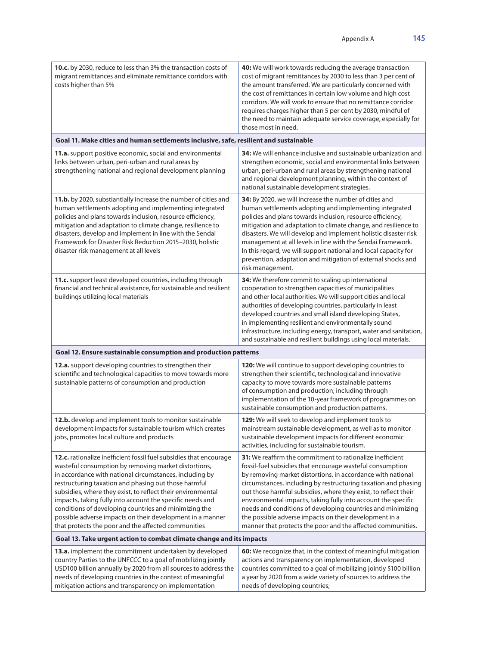| 10.c. by 2030, reduce to less than 3% the transaction costs of<br>migrant remittances and eliminate remittance corridors with<br>costs higher than 5%                                                                                                                                                                                                                                                                                                                                                                                                  | 40: We will work towards reducing the average transaction<br>cost of migrant remittances by 2030 to less than 3 per cent of<br>the amount transferred. We are particularly concerned with<br>the cost of remittances in certain low volume and high cost<br>corridors. We will work to ensure that no remittance corridor<br>requires charges higher than 5 per cent by 2030, mindful of<br>the need to maintain adequate service coverage, especially for<br>those most in need.                                                                                                          |
|--------------------------------------------------------------------------------------------------------------------------------------------------------------------------------------------------------------------------------------------------------------------------------------------------------------------------------------------------------------------------------------------------------------------------------------------------------------------------------------------------------------------------------------------------------|--------------------------------------------------------------------------------------------------------------------------------------------------------------------------------------------------------------------------------------------------------------------------------------------------------------------------------------------------------------------------------------------------------------------------------------------------------------------------------------------------------------------------------------------------------------------------------------------|
| Goal 11. Make cities and human settlements inclusive, safe, resilient and sustainable                                                                                                                                                                                                                                                                                                                                                                                                                                                                  |                                                                                                                                                                                                                                                                                                                                                                                                                                                                                                                                                                                            |
| 11.a. support positive economic, social and environmental<br>links between urban, peri-urban and rural areas by<br>strengthening national and regional development planning                                                                                                                                                                                                                                                                                                                                                                            | 34: We will enhance inclusive and sustainable urbanization and<br>strengthen economic, social and environmental links between<br>urban, peri-urban and rural areas by strengthening national<br>and regional development planning, within the context of<br>national sustainable development strategies.                                                                                                                                                                                                                                                                                   |
| 11.b. by 2020, substiantially increase the number of cities and<br>human settlements adopting and implementing integrated<br>policies and plans towards inclusion, resource efficiency,<br>mitigation and adaptation to climate change, resilience to<br>disasters, develop and implement in line with the Sendai<br>Framework for Disaster Risk Reduction 2015-2030, holistic<br>disaster risk management at all levels                                                                                                                               | 34: By 2020, we will increase the number of cities and<br>human settlements adopting and implementing integrated<br>policies and plans towards inclusion, resource efficiency,<br>mitigation and adaptation to climate change, and resilience to<br>disasters. We will develop and implement holistic disaster risk<br>management at all levels in line with the Sendai Framework.<br>In this regard, we will support national and local capacity for<br>prevention, adaptation and mitigation of external shocks and<br>risk management.                                                  |
| 11.c. support least developed countries, including through<br>financial and technical assistance, for sustainable and resilient<br>buildings utilizing local materials                                                                                                                                                                                                                                                                                                                                                                                 | 34: We therefore commit to scaling up international<br>cooperation to strengthen capacities of municipalities<br>and other local authorities. We will support cities and local<br>authorities of developing countries, particularly in least<br>developed countries and small island developing States,<br>in implementing resilient and environmentally sound<br>infrastructure, including energy, transport, water and sanitation,<br>and sustainable and resilient buildings using local materials.                                                                                     |
| Goal 12. Ensure sustainable consumption and production patterns                                                                                                                                                                                                                                                                                                                                                                                                                                                                                        |                                                                                                                                                                                                                                                                                                                                                                                                                                                                                                                                                                                            |
| 12.a. support developing countries to strengthen their<br>scientific and technological capacities to move towards more<br>sustainable patterns of consumption and production                                                                                                                                                                                                                                                                                                                                                                           | 120: We will continue to support developing countries to<br>strengthen their scientific, technological and innovative<br>capacity to move towards more sustainable patterns<br>of consumption and production, including through<br>implementation of the 10-year framework of programmes on<br>sustainable consumption and production patterns.                                                                                                                                                                                                                                            |
| 12.b. develop and implement tools to monitor sustainable<br>development impacts for sustainable tourism which creates<br>jobs, promotes local culture and products                                                                                                                                                                                                                                                                                                                                                                                     | 129: We will seek to develop and implement tools to<br>mainstream sustainable development, as well as to monitor<br>sustainable development impacts for different economic<br>activities, including for sustainable tourism.                                                                                                                                                                                                                                                                                                                                                               |
| 12.c. rationalize inefficient fossil fuel subsidies that encourage<br>wasteful consumption by removing market distortions,<br>in accordance with national circumstances, including by<br>restructuring taxation and phasing out those harmful<br>subsidies, where they exist, to reflect their environmental<br>impacts, taking fully into account the specific needs and<br>conditions of developing countries and minimizing the<br>possible adverse impacts on their development in a manner<br>that protects the poor and the affected communities | <b>31:</b> We reaffirm the commitment to rationalize inefficient<br>fossil-fuel subsidies that encourage wasteful consumption<br>by removing market distortions, in accordance with national<br>circumstances, including by restructuring taxation and phasing<br>out those harmful subsidies, where they exist, to reflect their<br>environmental impacts, taking fully into account the specific<br>needs and conditions of developing countries and minimizing<br>the possible adverse impacts on their development in a<br>manner that protects the poor and the affected communities. |
| Goal 13. Take urgent action to combat climate change and its impacts                                                                                                                                                                                                                                                                                                                                                                                                                                                                                   |                                                                                                                                                                                                                                                                                                                                                                                                                                                                                                                                                                                            |
| 13.a. implement the commitment undertaken by developed<br>country Parties to the UNFCCC to a goal of mobilizing jointly<br>USD100 billion annually by 2020 from all sources to address the<br>needs of developing countries in the context of meaningful<br>mitigation actions and transparency on implementation                                                                                                                                                                                                                                      | 60: We recognize that, in the context of meaningful mitigation<br>actions and transparency on implementation, developed<br>countries committed to a goal of mobilizing jointly \$100 billion<br>a year by 2020 from a wide variety of sources to address the<br>needs of developing countries;                                                                                                                                                                                                                                                                                             |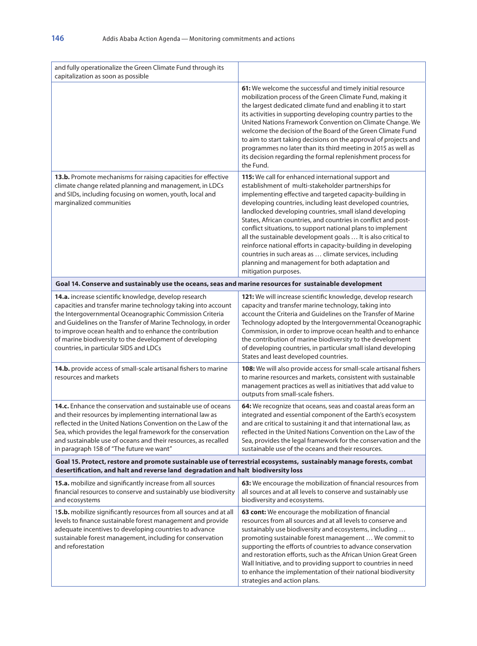| and fully operationalize the Green Climate Fund through its<br>capitalization as soon as possible                                                                                                                                                                                                                                                                                                                  |                                                                                                                                                                                                                                                                                                                                                                                                                                                                                                                                                                                                                                                                                                           |
|--------------------------------------------------------------------------------------------------------------------------------------------------------------------------------------------------------------------------------------------------------------------------------------------------------------------------------------------------------------------------------------------------------------------|-----------------------------------------------------------------------------------------------------------------------------------------------------------------------------------------------------------------------------------------------------------------------------------------------------------------------------------------------------------------------------------------------------------------------------------------------------------------------------------------------------------------------------------------------------------------------------------------------------------------------------------------------------------------------------------------------------------|
|                                                                                                                                                                                                                                                                                                                                                                                                                    | 61: We welcome the successful and timely initial resource<br>mobilization process of the Green Climate Fund, making it<br>the largest dedicated climate fund and enabling it to start<br>its activities in supporting developing country parties to the<br>United Nations Framework Convention on Climate Change. We<br>welcome the decision of the Board of the Green Climate Fund<br>to aim to start taking decisions on the approval of projects and<br>programmes no later than its third meeting in 2015 as well as<br>its decision regarding the formal replenishment process for<br>the Fund.                                                                                                      |
| 13.b. Promote mechanisms for raising capacities for effective<br>climate change related planning and management, in LDCs<br>and SIDs, including focusing on women, youth, local and<br>marginalized communities                                                                                                                                                                                                    | 115: We call for enhanced international support and<br>establishment of multi-stakeholder partnerships for<br>implementing effective and targeted capacity-building in<br>developing countries, including least developed countries,<br>landlocked developing countries, small island developing<br>States, African countries, and countries in conflict and post-<br>conflict situations, to support national plans to implement<br>all the sustainable development goals  It is also critical to<br>reinforce national efforts in capacity-building in developing<br>countries in such areas as  climate services, including<br>planning and management for both adaptation and<br>mitigation purposes. |
| Goal 14. Conserve and sustainably use the oceans, seas and marine resources for sustainable development                                                                                                                                                                                                                                                                                                            |                                                                                                                                                                                                                                                                                                                                                                                                                                                                                                                                                                                                                                                                                                           |
| 14.a. increase scientific knowledge, develop research<br>capacities and transfer marine technology taking into account<br>the Intergovernmental Oceanographic Commission Criteria<br>and Guidelines on the Transfer of Marine Technology, in order<br>to improve ocean health and to enhance the contribution<br>of marine biodiversity to the development of developing<br>countries, in particular SIDS and LDCs | <b>121:</b> We will increase scientific knowledge, develop research<br>capacity and transfer marine technology, taking into<br>account the Criteria and Guidelines on the Transfer of Marine<br>Technology adopted by the Intergovernmental Oceanographic<br>Commission, in order to improve ocean health and to enhance<br>the contribution of marine biodiversity to the development<br>of developing countries, in particular small island developing<br>States and least developed countries.                                                                                                                                                                                                         |
| 14.b. provide access of small-scale artisanal fishers to marine<br>resources and markets                                                                                                                                                                                                                                                                                                                           | <b>108:</b> We will also provide access for small-scale artisanal fishers<br>to marine resources and markets, consistent with sustainable<br>management practices as well as initiatives that add value to<br>outputs from small-scale fishers.                                                                                                                                                                                                                                                                                                                                                                                                                                                           |
| 14.c. Enhance the conservation and sustainable use of oceans<br>and their resources by implementing international law as<br>reflected in the United Nations Convention on the Law of the<br>Sea, which provides the legal framework for the conservation<br>and sustainable use of oceans and their resources, as recalled<br>in paragraph 158 of "The future we want"                                             | 64: We recognize that oceans, seas and coastal areas form an<br>integrated and essential component of the Earth's ecosystem<br>and are critical to sustaining it and that international law, as<br>reflected in the United Nations Convention on the Law of the<br>Sea, provides the legal framework for the conservation and the<br>sustainable use of the oceans and their resources.                                                                                                                                                                                                                                                                                                                   |
| Goal 15. Protect, restore and promote sustainable use of terrestrial ecosystems, sustainably manage forests, combat<br>desertification, and halt and reverse land degradation and halt biodiversity loss                                                                                                                                                                                                           |                                                                                                                                                                                                                                                                                                                                                                                                                                                                                                                                                                                                                                                                                                           |
| 15.a. mobilize and significantly increase from all sources<br>financial resources to conserve and sustainably use biodiversity<br>and ecosystems                                                                                                                                                                                                                                                                   | 63: We encourage the mobilization of financial resources from<br>all sources and at all levels to conserve and sustainably use<br>biodiversity and ecosystems.                                                                                                                                                                                                                                                                                                                                                                                                                                                                                                                                            |
| 15.b. mobilize significantly resources from all sources and at all<br>levels to finance sustainable forest management and provide<br>adequate incentives to developing countries to advance<br>sustainable forest management, including for conservation<br>and reforestation                                                                                                                                      | 63 cont: We encourage the mobilization of financial<br>resources from all sources and at all levels to conserve and<br>sustainably use biodiversity and ecosystems, including<br>promoting sustainable forest management  We commit to<br>supporting the efforts of countries to advance conservation<br>and restoration efforts, such as the African Union Great Green<br>Wall Initiative, and to providing support to countries in need<br>to enhance the implementation of their national biodiversity<br>strategies and action plans.                                                                                                                                                                 |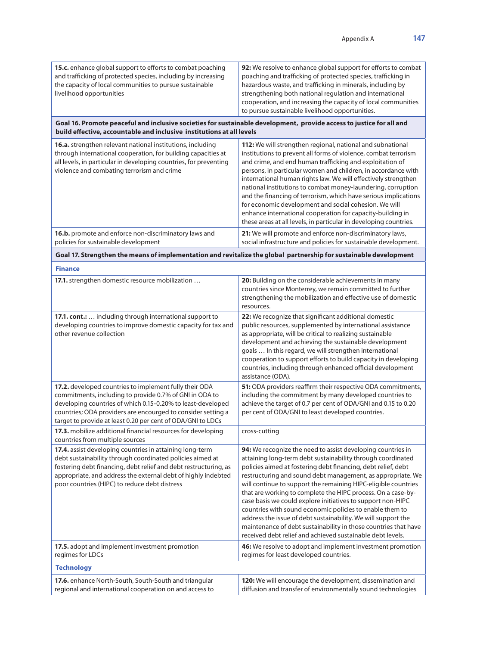| 15.c. enhance global support to efforts to combat poaching<br>and trafficking of protected species, including by increasing<br>the capacity of local communities to pursue sustainable<br>livelihood opportunities                                                                                              | 92: We resolve to enhance global support for efforts to combat<br>poaching and trafficking of protected species, trafficking in<br>hazardous waste, and trafficking in minerals, including by<br>strengthening both national regulation and international<br>cooperation, and increasing the capacity of local communities<br>to pursue sustainable livelihood opportunities.                                                                                                                                                                                                                                                                                                                                             |
|-----------------------------------------------------------------------------------------------------------------------------------------------------------------------------------------------------------------------------------------------------------------------------------------------------------------|---------------------------------------------------------------------------------------------------------------------------------------------------------------------------------------------------------------------------------------------------------------------------------------------------------------------------------------------------------------------------------------------------------------------------------------------------------------------------------------------------------------------------------------------------------------------------------------------------------------------------------------------------------------------------------------------------------------------------|
| Goal 16. Promote peaceful and inclusive societies for sustainable development, provide access to justice for all and<br>build effective, accountable and inclusive institutions at all levels                                                                                                                   |                                                                                                                                                                                                                                                                                                                                                                                                                                                                                                                                                                                                                                                                                                                           |
| 16.a. strengthen relevant national institutions, including<br>through international cooperation, for building capacities at<br>all levels, in particular in developing countries, for preventing<br>violence and combating terrorism and crime                                                                  | 112: We will strengthen regional, national and subnational<br>institutions to prevent all forms of violence, combat terrorism<br>and crime, and end human trafficking and exploitation of<br>persons, in particular women and children, in accordance with<br>international human rights law. We will effectively strengthen<br>national institutions to combat money-laundering, corruption<br>and the financing of terrorism, which have serious implications<br>for economic development and social cohesion. We will<br>enhance international cooperation for capacity-building in<br>these areas at all levels, in particular in developing countries.                                                               |
| 16.b. promote and enforce non-discriminatory laws and<br>policies for sustainable development                                                                                                                                                                                                                   | 21: We will promote and enforce non-discriminatory laws,<br>social infrastructure and policies for sustainable development.                                                                                                                                                                                                                                                                                                                                                                                                                                                                                                                                                                                               |
| Goal 17. Strengthen the means of implementation and revitalize the global partnership for sustainable development                                                                                                                                                                                               |                                                                                                                                                                                                                                                                                                                                                                                                                                                                                                                                                                                                                                                                                                                           |
| <b>Finance</b>                                                                                                                                                                                                                                                                                                  |                                                                                                                                                                                                                                                                                                                                                                                                                                                                                                                                                                                                                                                                                                                           |
| 17.1. strengthen domestic resource mobilization                                                                                                                                                                                                                                                                 | 20: Building on the considerable achievements in many<br>countries since Monterrey, we remain committed to further<br>strengthening the mobilization and effective use of domestic<br>resources.                                                                                                                                                                                                                                                                                                                                                                                                                                                                                                                          |
| 17.1. cont.:  including through international support to<br>developing countries to improve domestic capacity for tax and<br>other revenue collection                                                                                                                                                           | 22: We recognize that significant additional domestic<br>public resources, supplemented by international assistance<br>as appropriate, will be critical to realizing sustainable<br>development and achieving the sustainable development<br>goals  In this regard, we will strengthen international<br>cooperation to support efforts to build capacity in developing<br>countries, including through enhanced official development<br>assistance (ODA).                                                                                                                                                                                                                                                                 |
| 17.2. developed countries to implement fully their ODA<br>commitments, including to provide 0.7% of GNI in ODA to<br>developing countries of which 0.15-0.20% to least-developed<br>countries; ODA providers are encourged to consider setting a<br>target to provide at least 0.20 per cent of ODA/GNI to LDCs | 51: ODA providers reaffirm their respective ODA commitments,<br>including the commitment by many developed countries to<br>achieve the target of 0.7 per cent of ODA/GNI and 0.15 to 0.20<br>per cent of ODA/GNI to least developed countries.                                                                                                                                                                                                                                                                                                                                                                                                                                                                            |
| 17.3. mobilize additional financial resources for developing<br>countries from multiple sources                                                                                                                                                                                                                 | cross-cutting                                                                                                                                                                                                                                                                                                                                                                                                                                                                                                                                                                                                                                                                                                             |
| 17.4. assist developing countries in attaining long-term<br>debt sustainability through coordinated policies aimed at<br>fostering debt financing, debt relief and debt restructuring, as<br>appropriate, and address the external debt of highly indebted<br>poor countries (HIPC) to reduce debt distress     | 94: We recognize the need to assist developing countries in<br>attaining long-term debt sustainability through coordinated<br>policies aimed at fostering debt financing, debt relief, debt<br>restructuring and sound debt management, as appropriate. We<br>will continue to support the remaining HIPC-eligible countries<br>that are working to complete the HIPC process. On a case-by-<br>case basis we could explore initiatives to support non-HIPC<br>countries with sound economic policies to enable them to<br>address the issue of debt sustainability. We will support the<br>maintenance of debt sustainability in those countries that have<br>received debt relief and achieved sustainable debt levels. |
| 17.5. adopt and implement investment promotion<br>regimes for LDCs                                                                                                                                                                                                                                              | 46: We resolve to adopt and implement investment promotion<br>regimes for least developed countries.                                                                                                                                                                                                                                                                                                                                                                                                                                                                                                                                                                                                                      |
| <b>Technology</b>                                                                                                                                                                                                                                                                                               |                                                                                                                                                                                                                                                                                                                                                                                                                                                                                                                                                                                                                                                                                                                           |
| 17.6. enhance North-South, South-South and triangular<br>regional and international cooperation on and access to                                                                                                                                                                                                | 120: We will encourage the development, dissemination and<br>diffusion and transfer of environmentally sound technologies                                                                                                                                                                                                                                                                                                                                                                                                                                                                                                                                                                                                 |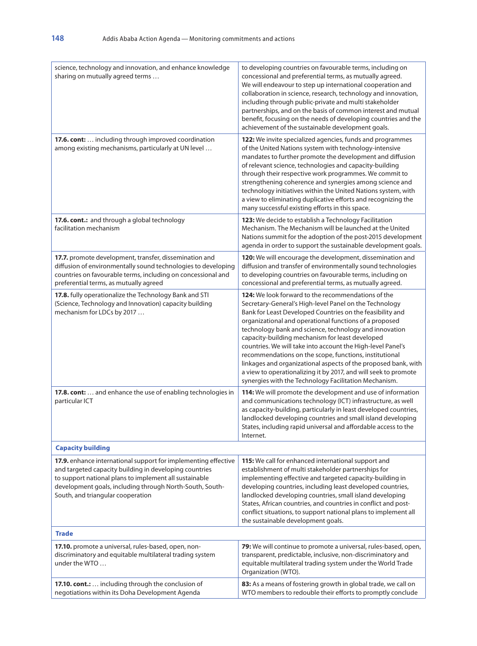| science, technology and innovation, and enhance knowledge<br>sharing on mutually agreed terms                                                                                                                                                                                       | to developing countries on favourable terms, including on<br>concessional and preferential terms, as mutually agreed.<br>We will endeavour to step up international cooperation and<br>collaboration in science, research, technology and innovation,<br>including through public-private and multi stakeholder<br>partnerships, and on the basis of common interest and mutual<br>benefit, focusing on the needs of developing countries and the<br>achievement of the sustainable development goals.                                                                                                                                                                         |
|-------------------------------------------------------------------------------------------------------------------------------------------------------------------------------------------------------------------------------------------------------------------------------------|--------------------------------------------------------------------------------------------------------------------------------------------------------------------------------------------------------------------------------------------------------------------------------------------------------------------------------------------------------------------------------------------------------------------------------------------------------------------------------------------------------------------------------------------------------------------------------------------------------------------------------------------------------------------------------|
| 17.6. cont:  including through improved coordination<br>among existing mechanisms, particularly at UN level                                                                                                                                                                         | 122: We invite specialized agencies, funds and programmes<br>of the United Nations system with technology-intensive<br>mandates to further promote the development and diffusion<br>of relevant science, technologies and capacity-building<br>through their respective work programmes. We commit to<br>strengthening coherence and synergies among science and<br>technology initiatives within the United Nations system, with<br>a view to eliminating duplicative efforts and recognizing the<br>many successful existing efforts in this space.                                                                                                                          |
| 17.6. cont.: and through a global technology<br>facilitation mechanism                                                                                                                                                                                                              | <b>123:</b> We decide to establish a Technology Facilitation<br>Mechanism. The Mechanism will be launched at the United<br>Nations summit for the adoption of the post-2015 development<br>agenda in order to support the sustainable development goals.                                                                                                                                                                                                                                                                                                                                                                                                                       |
| 17.7. promote development, transfer, dissemination and<br>diffusion of environmentally sound technologies to developing<br>countries on favourable terms, including on concessional and<br>preferential terms, as mutually agreed                                                   | 120: We will encourage the development, dissemination and<br>diffusion and transfer of environmentally sound technologies<br>to developing countries on favourable terms, including on<br>concessional and preferential terms, as mutually agreed.                                                                                                                                                                                                                                                                                                                                                                                                                             |
| 17.8. fully operationalize the Technology Bank and STI<br>(Science, Technology and Innovation) capacity building<br>mechanism for LDCs by 2017                                                                                                                                      | <b>124:</b> We look forward to the recommendations of the<br>Secretary-General's High-level Panel on the Technology<br>Bank for Least Developed Countries on the feasibility and<br>organizational and operational functions of a proposed<br>technology bank and science, technology and innovation<br>capacity-building mechanism for least developed<br>countries. We will take into account the High-level Panel's<br>recommendations on the scope, functions, institutional<br>linkages and organizational aspects of the proposed bank, with<br>a view to operationalizing it by 2017, and will seek to promote<br>synergies with the Technology Facilitation Mechanism. |
| 17.8. cont:  and enhance the use of enabling technologies in<br>particular ICT                                                                                                                                                                                                      | 114: We will promote the development and use of information<br>and communications technology (ICT) infrastructure, as well<br>as capacity-building, particularly in least developed countries,<br>landlocked developing countries and small island developing<br>States, including rapid universal and affordable access to the<br>Internet.                                                                                                                                                                                                                                                                                                                                   |
| <b>Capacity building</b>                                                                                                                                                                                                                                                            |                                                                                                                                                                                                                                                                                                                                                                                                                                                                                                                                                                                                                                                                                |
| 17.9. enhance international support for implementing effective<br>and targeted capacity building in developing countries<br>to support national plans to implement all sustainable<br>development goals, including through North-South, South-<br>South, and triangular cooperation | 115: We call for enhanced international support and<br>establishment of multi stakeholder partnerships for<br>implementing effective and targeted capacity-building in<br>developing countries, including least developed countries,<br>landlocked developing countries, small island developing<br>States, African countries, and countries in conflict and post-<br>conflict situations, to support national plans to implement all<br>the sustainable development goals.                                                                                                                                                                                                    |
| <b>Trade</b>                                                                                                                                                                                                                                                                        |                                                                                                                                                                                                                                                                                                                                                                                                                                                                                                                                                                                                                                                                                |
| 17.10. promote a universal, rules-based, open, non-<br>discriminatory and equitable multilateral trading system<br>under the WTO                                                                                                                                                    | 79: We will continue to promote a universal, rules-based, open,<br>transparent, predictable, inclusive, non-discriminatory and<br>equitable multilateral trading system under the World Trade<br>Organization (WTO).                                                                                                                                                                                                                                                                                                                                                                                                                                                           |
| 17.10. cont.:  including through the conclusion of<br>negotiations within its Doha Development Agenda                                                                                                                                                                               | 83: As a means of fostering growth in global trade, we call on<br>WTO members to redouble their efforts to promptly conclude                                                                                                                                                                                                                                                                                                                                                                                                                                                                                                                                                   |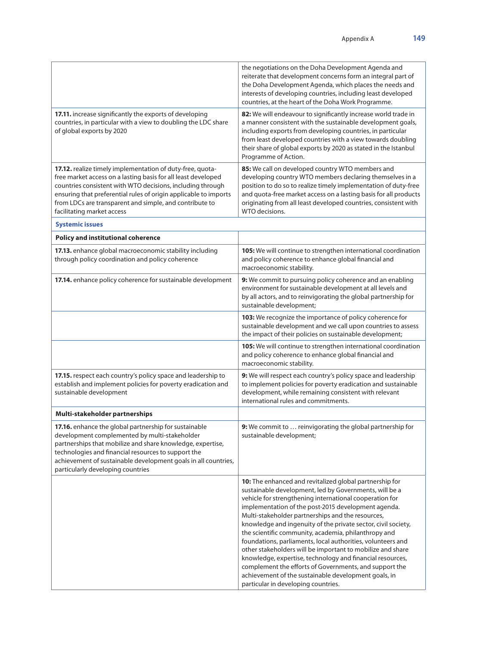|                                                                                                                                                                                                                                                                                                                                                       | the negotiations on the Doha Development Agenda and<br>reiterate that development concerns form an integral part of<br>the Doha Development Agenda, which places the needs and<br>interests of developing countries, including least developed<br>countries, at the heart of the Doha Work Programme.                                                                                                                                                                                                                                                                                                                                                                                                                                                                |
|-------------------------------------------------------------------------------------------------------------------------------------------------------------------------------------------------------------------------------------------------------------------------------------------------------------------------------------------------------|----------------------------------------------------------------------------------------------------------------------------------------------------------------------------------------------------------------------------------------------------------------------------------------------------------------------------------------------------------------------------------------------------------------------------------------------------------------------------------------------------------------------------------------------------------------------------------------------------------------------------------------------------------------------------------------------------------------------------------------------------------------------|
| 17.11. increase significantly the exports of developing<br>countries, in particular with a view to doubling the LDC share<br>of global exports by 2020                                                                                                                                                                                                | 82: We will endeavour to significantly increase world trade in<br>a manner consistent with the sustainable development goals,<br>including exports from developing countries, in particular<br>from least developed countries with a view towards doubling<br>their share of global exports by 2020 as stated in the Istanbul<br>Programme of Action.                                                                                                                                                                                                                                                                                                                                                                                                                |
| 17.12. realize timely implementation of duty-free, quota-<br>free market access on a lasting basis for all least developed<br>countries consistent with WTO decisions, including through<br>ensuring that preferential rules of origin applicable to imports<br>from LDCs are transparent and simple, and contribute to<br>facilitating market access | 85: We call on developed country WTO members and<br>developing country WTO members declaring themselves in a<br>position to do so to realize timely implementation of duty-free<br>and quota-free market access on a lasting basis for all products<br>originating from all least developed countries, consistent with<br>WTO decisions.                                                                                                                                                                                                                                                                                                                                                                                                                             |
| <b>Systemic issues</b>                                                                                                                                                                                                                                                                                                                                |                                                                                                                                                                                                                                                                                                                                                                                                                                                                                                                                                                                                                                                                                                                                                                      |
| <b>Policy and institutional coherence</b>                                                                                                                                                                                                                                                                                                             |                                                                                                                                                                                                                                                                                                                                                                                                                                                                                                                                                                                                                                                                                                                                                                      |
| 17.13. enhance global macroeconomic stability including<br>through policy coordination and policy coherence                                                                                                                                                                                                                                           | 105: We will continue to strengthen international coordination<br>and policy coherence to enhance global financial and<br>macroeconomic stability.                                                                                                                                                                                                                                                                                                                                                                                                                                                                                                                                                                                                                   |
| 17.14. enhance policy coherence for sustainable development                                                                                                                                                                                                                                                                                           | 9: We commit to pursuing policy coherence and an enabling<br>environment for sustainable development at all levels and<br>by all actors, and to reinvigorating the global partnership for<br>sustainable development;                                                                                                                                                                                                                                                                                                                                                                                                                                                                                                                                                |
|                                                                                                                                                                                                                                                                                                                                                       | 103: We recognize the importance of policy coherence for<br>sustainable development and we call upon countries to assess<br>the impact of their policies on sustainable development;                                                                                                                                                                                                                                                                                                                                                                                                                                                                                                                                                                                 |
|                                                                                                                                                                                                                                                                                                                                                       | 105: We will continue to strengthen international coordination<br>and policy coherence to enhance global financial and<br>macroeconomic stability.                                                                                                                                                                                                                                                                                                                                                                                                                                                                                                                                                                                                                   |
| 17.15. respect each country's policy space and leadership to<br>establish and implement policies for poverty eradication and<br>sustainable development                                                                                                                                                                                               | 9: We will respect each country's policy space and leadership<br>to implement policies for poverty eradication and sustainable<br>development, while remaining consistent with relevant<br>international rules and commitments.                                                                                                                                                                                                                                                                                                                                                                                                                                                                                                                                      |
| Multi-stakeholder partnerships                                                                                                                                                                                                                                                                                                                        |                                                                                                                                                                                                                                                                                                                                                                                                                                                                                                                                                                                                                                                                                                                                                                      |
| 17.16. enhance the global partnership for sustainable<br>development complemented by multi-stakeholder<br>partnerships that mobilize and share knowledge, expertise,<br>technologies and financial resources to support the<br>achievement of sustainable development goals in all countries,<br>particularly developing countries                    | 9: We commit to  reinvigorating the global partnership for<br>sustainable development;                                                                                                                                                                                                                                                                                                                                                                                                                                                                                                                                                                                                                                                                               |
|                                                                                                                                                                                                                                                                                                                                                       | 10: The enhanced and revitalized global partnership for<br>sustainable development, led by Governments, will be a<br>vehicle for strengthening international cooperation for<br>implementation of the post-2015 development agenda.<br>Multi-stakeholder partnerships and the resources,<br>knowledge and ingenuity of the private sector, civil society,<br>the scientific community, academia, philanthropy and<br>foundations, parliaments, local authorities, volunteers and<br>other stakeholders will be important to mobilize and share<br>knowledge, expertise, technology and financial resources,<br>complement the efforts of Governments, and support the<br>achievement of the sustainable development goals, in<br>particular in developing countries. |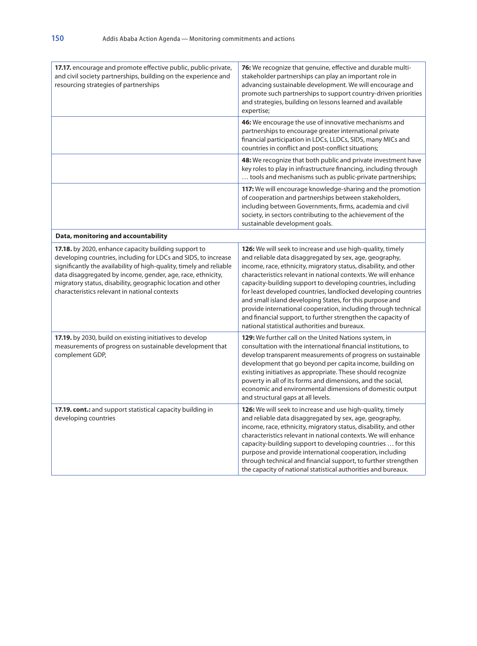| <b>17.17.</b> encourage and promote effective public, public-private,<br>and civil society partnerships, building on the experience and<br>resourcing strategies of partnerships                                                                                                                                                                                             | 76: We recognize that genuine, effective and durable multi-<br>stakeholder partnerships can play an important role in<br>advancing sustainable development. We will encourage and<br>promote such partnerships to support country-driven priorities<br>and strategies, building on lessons learned and available<br>expertise;                                                                                                                                                                                                                                                                                                                      |
|------------------------------------------------------------------------------------------------------------------------------------------------------------------------------------------------------------------------------------------------------------------------------------------------------------------------------------------------------------------------------|-----------------------------------------------------------------------------------------------------------------------------------------------------------------------------------------------------------------------------------------------------------------------------------------------------------------------------------------------------------------------------------------------------------------------------------------------------------------------------------------------------------------------------------------------------------------------------------------------------------------------------------------------------|
|                                                                                                                                                                                                                                                                                                                                                                              | 46: We encourage the use of innovative mechanisms and<br>partnerships to encourage greater international private<br>financial participation in LDCs, LLDCs, SIDS, many MICs and<br>countries in conflict and post-conflict situations;                                                                                                                                                                                                                                                                                                                                                                                                              |
|                                                                                                                                                                                                                                                                                                                                                                              | 48: We recognize that both public and private investment have<br>key roles to play in infrastructure financing, including through<br>tools and mechanisms such as public-private partnerships;                                                                                                                                                                                                                                                                                                                                                                                                                                                      |
|                                                                                                                                                                                                                                                                                                                                                                              | <b>117:</b> We will encourage knowledge-sharing and the promotion<br>of cooperation and partnerships between stakeholders,<br>including between Governments, firms, academia and civil<br>society, in sectors contributing to the achievement of the<br>sustainable development goals.                                                                                                                                                                                                                                                                                                                                                              |
| Data, monitoring and accountability                                                                                                                                                                                                                                                                                                                                          |                                                                                                                                                                                                                                                                                                                                                                                                                                                                                                                                                                                                                                                     |
| 17.18. by 2020, enhance capacity building support to<br>developing countries, including for LDCs and SIDS, to increase<br>significantly the availability of high-quality, timely and reliable<br>data disaggregated by income, gender, age, race, ethnicity,<br>migratory status, disability, geographic location and other<br>characteristics relevant in national contexts | <b>126:</b> We will seek to increase and use high-quality, timely<br>and reliable data disaggregated by sex, age, geography,<br>income, race, ethnicity, migratory status, disability, and other<br>characteristics relevant in national contexts. We will enhance<br>capacity-building support to developing countries, including<br>for least developed countries, landlocked developing countries<br>and small island developing States, for this purpose and<br>provide international cooperation, including through technical<br>and financial support, to further strengthen the capacity of<br>national statistical authorities and bureaux. |
| 17.19. by 2030, build on existing initiatives to develop<br>measurements of progress on sustainable development that<br>complement GDP,                                                                                                                                                                                                                                      | 129: We further call on the United Nations system, in<br>consultation with the international financial institutions, to<br>develop transparent measurements of progress on sustainable<br>development that go beyond per capita income, building on<br>existing initiatives as appropriate. These should recognize<br>poverty in all of its forms and dimensions, and the social,<br>economic and environmental dimensions of domestic output<br>and structural gaps at all levels.                                                                                                                                                                 |
| 17.19. cont.: and support statistical capacity building in<br>developing countries                                                                                                                                                                                                                                                                                           | <b>126:</b> We will seek to increase and use high-quality, timely<br>and reliable data disaggregated by sex, age, geography,<br>income, race, ethnicity, migratory status, disability, and other<br>characteristics relevant in national contexts. We will enhance<br>capacity-building support to developing countries  for this<br>purpose and provide international cooperation, including<br>through technical and financial support, to further strengthen<br>the capacity of national statistical authorities and bureaux.                                                                                                                    |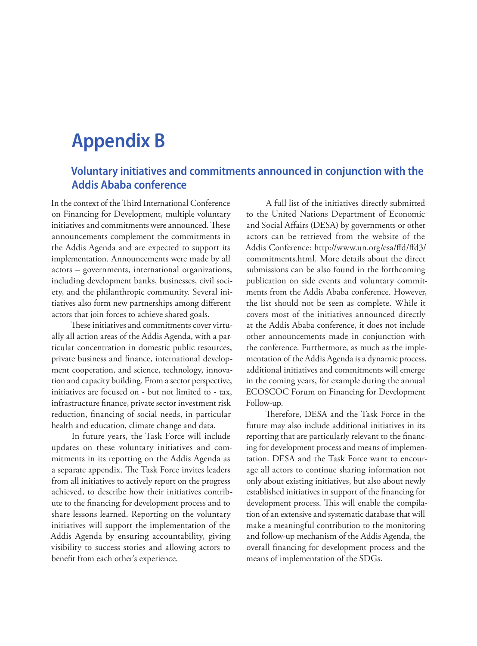## **Appendix B**

## **Voluntary initiatives and commitments announced in conjunction with the Addis Ababa conference**

In the context of the Third International Conference on Financing for Development, multiple voluntary initiatives and commitments were announced. These announcements complement the commitments in the Addis Agenda and are expected to support its implementation. Announcements were made by all actors – governments, international organizations, including development banks, businesses, civil society, and the philanthropic community. Several initiatives also form new partnerships among different actors that join forces to achieve shared goals.

These initiatives and commitments cover virtually all action areas of the Addis Agenda, with a particular concentration in domestic public resources, private business and finance, international development cooperation, and science, technology, innovation and capacity building. From a sector perspective, initiatives are focused on - but not limited to - tax, infrastructure finance, private sector investment risk reduction, financing of social needs, in particular health and education, climate change and data.

In future years, the Task Force will include updates on these voluntary initiatives and commitments in its reporting on the Addis Agenda as a separate appendix. The Task Force invites leaders from all initiatives to actively report on the progress achieved, to describe how their initiatives contribute to the financing for development process and to share lessons learned. Reporting on the voluntary initiatives will support the implementation of the Addis Agenda by ensuring accountability, giving visibility to success stories and allowing actors to benefit from each other's experience.

A full list of the initiatives directly submitted to the United Nations Department of Economic and Social Affairs (DESA) by governments or other actors can be retrieved from the website of the Addis Conference: http://www.un.org/esa/ffd/ffd3/ commitments.html. More details about the direct submissions can be also found in the forthcoming publication on side events and voluntary commitments from the Addis Ababa conference. However, the list should not be seen as complete. While it covers most of the initiatives announced directly at the Addis Ababa conference, it does not include other announcements made in conjunction with the conference. Furthermore, as much as the implementation of the Addis Agenda is a dynamic process, additional initiatives and commitments will emerge in the coming years, for example during the annual ECOSCOC Forum on Financing for Development Follow-up.

Therefore, DESA and the Task Force in the future may also include additional initiatives in its reporting that are particularly relevant to the financing for development process and means of implementation. DESA and the Task Force want to encourage all actors to continue sharing information not only about existing initiatives, but also about newly established initiatives in support of the financing for development process. This will enable the compilation of an extensive and systematic database that will make a meaningful contribution to the monitoring and follow-up mechanism of the Addis Agenda, the overall financing for development process and the means of implementation of the SDGs.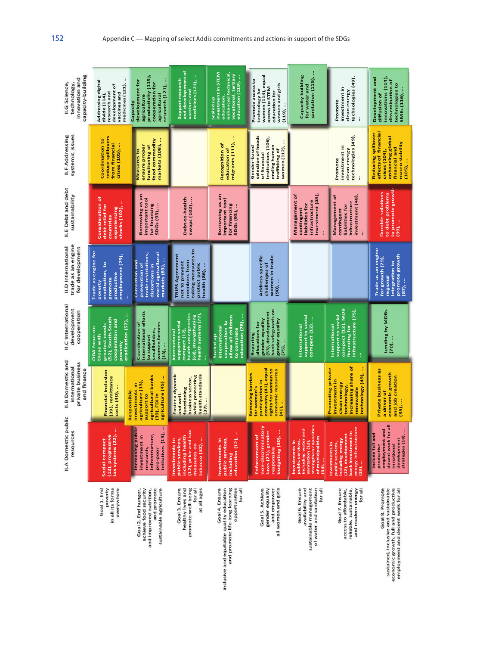| capacity-building<br>innovation and<br>II.G Science,<br>technology,   | medicines (121),<br>Addressing digital<br>development of<br>research and<br>divide (114),<br>vaccines and                   | productivity (115),<br>research (121),<br>development for<br>cooperation for<br>agricultural<br>agriculture<br>Capacity | and development of<br>medicines (121),<br>Support research<br>vaccines and                                                | investment in STEM<br>enhanced technical,<br>vocational, tertiary<br>education (119),<br>education,<br>Scaled up          | women (114), equal<br>Promote access to<br>women and girls<br>access to STEM<br>technology for<br>education for<br>$(119)$        | Capacity building<br>sanitation (115),<br>for water and                                                                                            | technologies (49),<br>investment in<br>clean energy<br>Promote<br>$\vdots$                                                             | innovations (114),<br>Development and<br>dissemination of<br>technologies to<br>SMEs (116),<br>diffusion of                             |
|-----------------------------------------------------------------------|-----------------------------------------------------------------------------------------------------------------------------|-------------------------------------------------------------------------------------------------------------------------|---------------------------------------------------------------------------------------------------------------------------|---------------------------------------------------------------------------------------------------------------------------|-----------------------------------------------------------------------------------------------------------------------------------|----------------------------------------------------------------------------------------------------------------------------------------------------|----------------------------------------------------------------------------------------------------------------------------------------|-----------------------------------------------------------------------------------------------------------------------------------------|
| systemic issues<br>II.F Addressing                                    | reduce spillovers<br>Coordination to<br>from financial<br>crises (105),                                                     | markets (108),<br>food commodity<br>ensure proper<br>functioning of<br>Measures to                                      |                                                                                                                           | migrants (111),<br>Recognition of<br>education of                                                                         | selection of heads<br>institutions (106),<br>ending human<br>Gender-based<br>women (112),<br>trafficking of<br>of financial       |                                                                                                                                                    | technologies (49),<br>investment in<br>clean energy<br>Promote                                                                         | <b>Reducing spillover</b><br>effects of financial<br>enhancing global<br>macro stability<br>financial and<br>crises (104),<br>$(105)$ , |
| II.E Debt and debt<br>sustainability                                  | Consideration of<br>debt relief for<br>shocks (102),<br>experiencing<br>countries                                           | Borrowing as an<br>important tool<br>for financing<br>SDGs (93),                                                        | Debt-to-health<br>swaps (102),                                                                                            | Borrowing as an<br>important tool<br>for financing<br>SDGs (93),                                                          |                                                                                                                                   | investment (48),<br>Management of<br>infrastructure<br>liabilities for<br>contingent                                                               | investment (48),<br>Management of<br>infrastructure<br>liabilities for<br>contingent<br>ł                                              | to promote growth<br>Durable solutions<br>to debt problems<br>(66)                                                                      |
| trade as an engine<br>II.D International<br>for development           | Trade as engine for<br>employment (79),<br>eradication, to<br>productive<br>promote<br>poverty                              | world agricultural<br>trade restrictions,<br>Correction and<br>markets (83),<br>prevention of<br>distortions in         | taking measures to<br><b>TRIPS Agreement</b><br>members from<br>not to prevent<br>protect public<br>health (86),          |                                                                                                                           | Address specific<br>women in trade<br>challenges of<br>$(90)$                                                                     |                                                                                                                                                    |                                                                                                                                        | Trade as an engine<br>promote growth<br>for growth (79),<br>integration to<br>regional<br>$(87)$                                        |
| II.C International<br>development<br>cooperation                      | greatest needs<br>(52), South-South<br>cooperation and<br>eradication (57),<br><b>DDA</b> focus on<br>those with<br>poverty | international efforts<br>women farmers<br>Coordination of<br>smallholders,<br>to support<br>(13),                       | health emergencies<br>health systems (77)<br>(68), strengthening<br>support to social<br>$compact(12)$ ,<br>International | education (78),<br>allow all children<br>cooperation to<br><b>International</b><br>to complete<br>Scaled up               | bank safeguards on<br>(53), development<br>gender equality<br>gender equality<br>allocations for<br>Reporting<br>(75),            | support to social<br>compact (12),<br>International                                                                                                | compact (12), MDB<br>infrastructure (75),<br>support to social<br>International<br>financing for<br>÷                                  | Lending by MDBs<br>$(70)$ ,                                                                                                             |
| II.B Domestic and<br>private business<br>international<br>and finance | Financial inclusion<br>(39), remittance<br>costs (40),<br>Responsible                                                       | agricultural banks<br>agriculture (45)<br>agriculture (13),<br>investments in<br>support to<br>(39), FDI in             | Foster a dynamic<br>health standards<br>while protecting<br>business sector,<br>functioning<br>and well-<br>$(37)$ ,      |                                                                                                                           | economy (41), equal<br>rights for women to<br>economic resources<br>Removing barriers<br>participation in<br>for women's<br>(41), |                                                                                                                                                    | increasing share of<br>Promoting private<br>technology (49),<br>investment in<br>clean energy<br>technology,<br>renewable              | Private business as<br>economic growth<br>and job creation<br>a driver of<br>$(35)$ ,                                                   |
| II.A Domestic public<br>resources                                     | tax systems (22),<br>(12), progressive<br>Social compact                                                                    | increasing public<br>initiatives (13),<br>infrastructure,<br>investment in<br>research,<br>pro-poor                     | (12), price and tax<br>ices,<br>ealth<br>measures on<br>tobacco (32),<br>Investments in<br>including h<br>public serv     | $(12)$<br>public services,<br>Investments in<br>education<br><b>including</b>                                             | non-discriminatory<br>$(30)$<br>gender<br>Enforcement of<br>responsive<br>budgeting<br>laws (21),                                 | (12),<br>capacities<br>including water and<br>of municipalities<br>ces,<br>ą<br>public servi<br>strengthen<br>Investment<br>sanitation<br>$(34)$ . | energy infrastructure<br>(33),<br>bank investment in<br>including energy<br>(12), development<br>public services,<br>£,<br>Investments | decent work for all<br>employment and<br>strategies (18),<br>uil and<br>development<br>productive<br>in national<br>Include fr          |
|                                                                       | in all its forms<br>Goal 1. End<br>poverty<br>everywhere                                                                    | and improved nutrition,<br>and promote<br>sustainable agriculture<br>achieve food security<br>Goal 2. End hunger,       | Goal 3. Ensure<br>healthy lives and<br>promote well-being<br>at all ages<br>for all                                       | Goal 4. Ensure<br>inclusive and equitable quality education<br>and promote life-long learning<br>opportunities<br>for all | gender equality<br>all women and girls<br>Goal 5. Achieve<br>and empower                                                          | availability and<br>sustainable management<br>of water and sanitation<br>for all<br>Goal 6. Ensure                                                 | Goal 7. Ensure<br>reliable, sustainable,<br>and modern energy<br>for all<br>access to affordable,                                      | economic growth, full and productive<br>Goal 8. Promote<br>sustained, inclusive and sustainable<br>employment and decent work for all   |